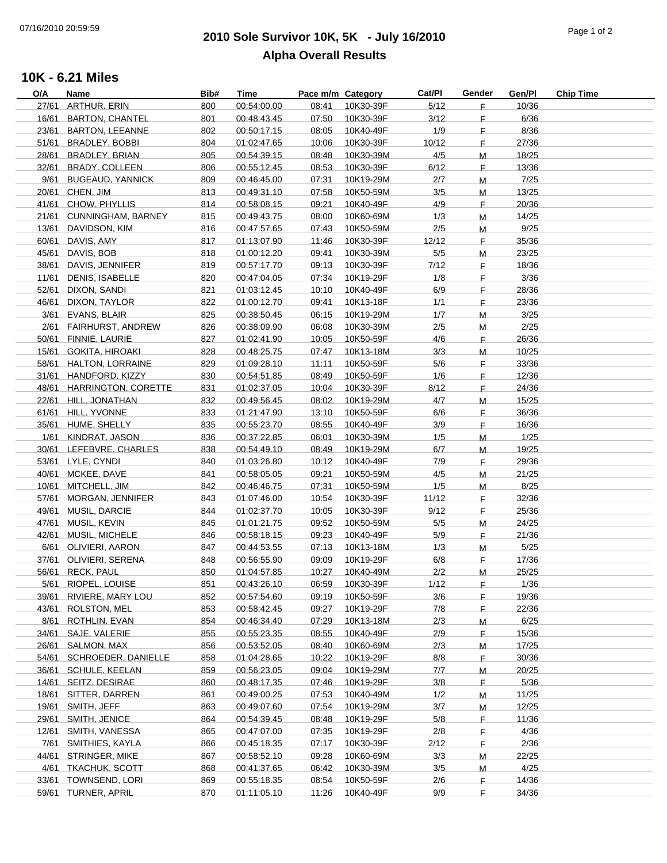## **2010 Sole Survivor 10K, 5K - July 16/2010** 07/16/2010 20:59:59 Page 1 of 2 **Alpha Overall Results**

## **10K - 6.21 Miles**

| O/A   | Name                      | Bib# | Time        | Pace m/m Category |           | Cat/Pl | Gender  | Gen/Pl | <b>Chip Time</b> |
|-------|---------------------------|------|-------------|-------------------|-----------|--------|---------|--------|------------------|
| 27/61 | <b>ARTHUR, ERIN</b>       | 800  | 00:54:00.00 | 08:41             | 10K30-39F | 5/12   | F.      | 10/36  |                  |
| 16/61 | <b>BARTON, CHANTEL</b>    | 801  | 00:48:43.45 | 07:50             | 10K30-39F | 3/12   | F       | 6/36   |                  |
|       | 23/61 BARTON, LEEANNE     | 802  | 00:50:17.15 | 08:05             | 10K40-49F | 1/9    | F       | 8/36   |                  |
| 51/61 | <b>BRADLEY, BOBBI</b>     | 804  | 01:02:47.65 | 10:06             | 10K30-39F | 10/12  | F.      | 27/36  |                  |
| 28/61 | <b>BRADLEY, BRIAN</b>     | 805  | 00:54:39.15 | 08:48             | 10K30-39M | 4/5    | M       | 18/25  |                  |
| 32/61 | <b>BRADY, COLLEEN</b>     | 806  | 00:55:12.45 | 08:53             | 10K30-39F | 6/12   | F.      | 13/36  |                  |
|       | 9/61 BUGEAUD, YANNICK     | 809  | 00:46:45.00 | 07:31             | 10K19-29M | 2/7    | м       | 7/25   |                  |
|       | 20/61 CHEN, JIM           | 813  | 00:49:31.10 | 07:58             | 10K50-59M | 3/5    | м       | 13/25  |                  |
|       | 41/61 CHOW, PHYLLIS       | 814  | 00:58:08.15 | 09:21             | 10K40-49F | 4/9    | E       | 20/36  |                  |
|       | 21/61 CUNNINGHAM, BARNEY  | 815  | 00:49:43.75 | 08:00             | 10K60-69M | 1/3    | M       | 14/25  |                  |
| 13/61 | DAVIDSON, KIM             | 816  | 00:47:57.65 | 07:43             | 10K50-59M | 2/5    | M       | 9/25   |                  |
| 60/61 | DAVIS, AMY                | 817  | 01:13:07.90 | 11:46             | 10K30-39F | 12/12  | E       | 35/36  |                  |
| 45/61 | DAVIS, BOB                | 818  | 01:00:12.20 | 09:41             | 10K30-39M | 5/5    |         | 23/25  |                  |
|       |                           |      |             |                   |           |        | M       |        |                  |
| 38/61 | DAVIS, JENNIFER           | 819  | 00:57:17.70 | 09:13             | 10K30-39F | 7/12   | F.      | 18/36  |                  |
| 11/61 | <b>DENIS, ISABELLE</b>    | 820  | 00:47:04.05 | 07:34             | 10K19-29F | 1/8    | F.      | 3/36   |                  |
| 52/61 | DIXON, SANDI              | 821  | 01:03:12.45 | 10:10             | 10K40-49F | 6/9    | F.      | 28/36  |                  |
| 46/61 | DIXON, TAYLOR             | 822  | 01:00:12.70 | 09:41             | 10K13-18F | 1/1    | E       | 23/36  |                  |
| 3/61  | EVANS, BLAIR              | 825  | 00:38:50.45 | 06:15             | 10K19-29M | 1/7    | M       | 3/25   |                  |
|       | 2/61 FAIRHURST, ANDREW    | 826  | 00:38:09.90 | 06:08             | 10K30-39M | 2/5    | M       | 2/25   |                  |
|       | 50/61 FINNIE, LAURIE      | 827  | 01:02:41.90 | 10:05             | 10K50-59F | 4/6    | F.      | 26/36  |                  |
| 15/61 | <b>GOKITA, HIROAKI</b>    | 828  | 00:48:25.75 | 07:47             | 10K13-18M | 3/3    | M       | 10/25  |                  |
| 58/61 | <b>HALTON, LORRAINE</b>   | 829  | 01:09:28.10 | 11:11             | 10K50-59F | 5/6    | F.      | 33/36  |                  |
|       | 31/61 HANDFORD, KIZZY     | 830  | 00:54:51.85 | 08:49             | 10K50-59F | 1/6    | F.      | 12/36  |                  |
|       | 48/61 HARRINGTON, CORETTE | 831  | 01:02:37.05 | 10:04             | 10K30-39F | 8/12   | E       | 24/36  |                  |
|       | 22/61 HILL, JONATHAN      | 832  | 00:49:56.45 | 08:02             | 10K19-29M | 4/7    | M       | 15/25  |                  |
|       | 61/61 HILL, YVONNE        | 833  | 01:21:47.90 | 13:10             | 10K50-59F | 6/6    | F.      | 36/36  |                  |
|       | 35/61 HUME, SHELLY        | 835  | 00:55:23.70 | 08:55             | 10K40-49F | 3/9    | F.      | 16/36  |                  |
|       | 1/61 KINDRAT, JASON       | 836  | 00:37:22.85 | 06:01             | 10K30-39M | 1/5    | M       | 1/25   |                  |
| 30/61 | LEFEBVRE, CHARLES         | 838  | 00:54:49.10 | 08:49             | 10K19-29M | 6/7    | M       | 19/25  |                  |
|       | 53/61 LYLE, CYNDI         | 840  | 01:03:26.80 | 10:12             | 10K40-49F | 7/9    | E       | 29/36  |                  |
|       | 40/61 MCKEE, DAVE         | 841  | 00:58:05.05 | 09:21             | 10K50-59M | 4/5    | Μ       | 21/25  |                  |
|       | 10/61 MITCHELL, JIM       | 842  | 00:46:46.75 | 07:31             | 10K50-59M | 1/5    |         | 8/25   |                  |
|       | 57/61 MORGAN, JENNIFER    | 843  | 01:07:46.00 | 10:54             | 10K30-39F | 11/12  | Μ<br>F. | 32/36  |                  |
|       | 49/61 MUSIL, DARCIE       | 844  | 01:02:37.70 | 10:05             | 10K30-39F | 9/12   | F.      | 25/36  |                  |
|       | 47/61 MUSIL, KEVIN        |      | 01:01:21.75 |                   |           |        |         |        |                  |
|       |                           | 845  |             | 09:52             | 10K50-59M | 5/5    | M       | 24/25  |                  |
|       | 42/61 MUSIL, MICHELE      | 846  | 00:58:18.15 | 09:23             | 10K40-49F | 5/9    | F.      | 21/36  |                  |
|       | 6/61 OLIVIERI, AARON      | 847  | 00:44:53.55 | 07:13             | 10K13-18M | 1/3    | M       | 5/25   |                  |
|       | 37/61 OLIVIERI, SERENA    | 848  | 00:56:55.90 | 09:09             | 10K19-29F | 6/8    | F.      | 17/36  |                  |
|       | 56/61 RECK, PAUL          | 850  | 01:04:57.85 | 10:27             | 10K40-49M | 2/2    | M       | 25/25  |                  |
|       | 5/61 RIOPEL, LOUISE       | 851  | 00:43:26.10 | 06:59             | 10K30-39F | 1/12   | E       | 1/36   |                  |
| 39/61 | RIVIERE, MARY LOU         | 852  | 00:57:54.60 | 09:19             | 10K50-59F | 3/6    | F       | 19/36  |                  |
| 43/61 | <b>ROLSTON, MEL</b>       | 853  | 00:58:42.45 | 09:27             | 10K19-29F | 7/8    | F       | 22/36  |                  |
|       | 8/61 ROTHLIN, EVAN        | 854  | 00:46:34.40 | 07:29             | 10K13-18M | 2/3    | M       | 6/25   |                  |
|       | 34/61 SAJE, VALERIE       | 855  | 00:55:23.35 | 08:55             | 10K40-49F | 2/9    | F.      | 15/36  |                  |
| 26/61 | SALMON, MAX               | 856  | 00:53:52.05 | 08:40             | 10K60-69M | 2/3    | M       | 17/25  |                  |
|       | 54/61 SCHROEDER, DANIELLE | 858  | 01:04:28.65 | 10:22             | 10K19-29F | 8/8    | F.      | 30/36  |                  |
|       | 36/61 SCHULE, KEELAN      | 859  | 00:56:23.05 | 09:04             | 10K19-29M | 7/7    | M       | 20/25  |                  |
|       | 14/61 SEITZ, DESIRAE      | 860  | 00:48:17.35 | 07:46             | 10K19-29F | 3/8    | F       | 5/36   |                  |
|       | 18/61 SITTER, DARREN      | 861  | 00:49:00.25 | 07:53             | 10K40-49M | 1/2    | M       | 11/25  |                  |
|       | 19/61 SMITH, JEFF         | 863  | 00:49:07.60 | 07:54             | 10K19-29M | 3/7    | M       | 12/25  |                  |
|       | 29/61 SMITH, JENICE       | 864  | 00:54:39.45 | 08:48             | 10K19-29F | 5/8    | F       | 11/36  |                  |
|       | 12/61 SMITH, VANESSA      | 865  | 00:47:07.00 | 07:35             | 10K19-29F | 2/8    | E       | 4/36   |                  |
|       |                           | 866  |             | 07:17             |           |        |         | 2/36   |                  |
| 7/61  | SMITHIES, KAYLA           |      | 00:45:18.35 |                   | 10K30-39F | 2/12   | F.      |        |                  |
|       | 44/61 STRINGER, MIKE      | 867  | 00:58:52.10 | 09:28             | 10K60-69M | 3/3    | M       | 22/25  |                  |
|       | 4/61 TKACHUK, SCOTT       | 868  | 00:41:37.65 | 06:42             | 10K30-39M | 3/5    | M       | 4/25   |                  |
|       | 33/61 TOWNSEND, LORI      | 869  | 00:55:18.35 | 08:54             | 10K50-59F | 2/6    | F.      | 14/36  |                  |
|       | 59/61 TURNER, APRIL       | 870  | 01:11:05.10 | 11:26             | 10K40-49F | 9/9    | F       | 34/36  |                  |